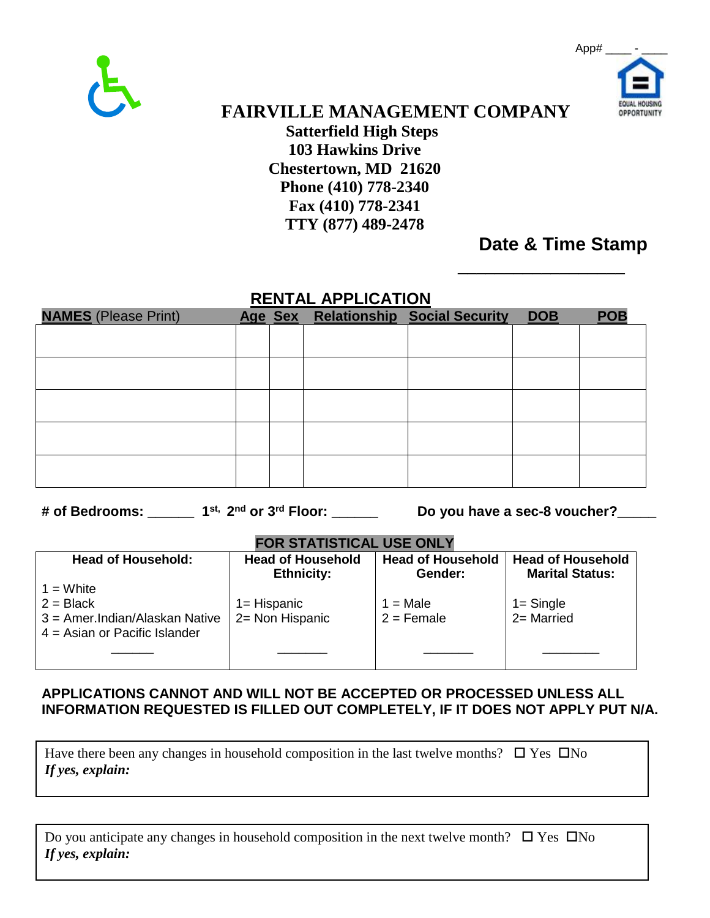



 **FAIRVILLE MANAGEMENT COMPANY Satterfield High Steps 103 Hawkins Drive Chestertown, MD 21620 Phone (410) 778-2340 Fax (410) 778-2341 TTY (877) 489-2478**

## **Date & Time Stamp**

*\_\_\_\_\_\_\_\_\_\_\_\_\_\_\_\_\_\_*

### **RENTAL APPLICATION**

| <b>NAMES</b> (Please Print) |  | Age Sex Relationship Social Security | <b>DOB</b> | <b>POB</b> |
|-----------------------------|--|--------------------------------------|------------|------------|
|                             |  |                                      |            |            |
|                             |  |                                      |            |            |
|                             |  |                                      |            |            |
|                             |  |                                      |            |            |
|                             |  |                                      |            |            |
|                             |  |                                      |            |            |
|                             |  |                                      |            |            |
|                             |  |                                      |            |            |
|                             |  |                                      |            |            |
|                             |  |                                      |            |            |

**# of Bedrooms: \_\_\_\_\_\_ 1st, 2nd or 3rd Floor: \_\_\_\_\_\_ Do you have a sec-8 voucher?\_\_\_\_\_**

#### **FOR STATISTICAL USE ONLY**

| <b>Head of Household:</b>                                                                        | <b>Head of Household</b>          | <b>Head of Household</b>   | <b>Head of Household</b> |
|--------------------------------------------------------------------------------------------------|-----------------------------------|----------------------------|--------------------------|
|                                                                                                  | <b>Ethnicity:</b>                 | Gender:                    | <b>Marital Status:</b>   |
| $1 =$ White<br>$2 = Black$<br>3 = Amer. Indian/Alaskan Native<br>$4 =$ Asian or Pacific Islander | $1 =$ Hispanic<br>2= Non Hispanic | $1 = Male$<br>$2 =$ Female | 1= Single<br>2= Married  |

#### **APPLICATIONS CANNOT AND WILL NOT BE ACCEPTED OR PROCESSED UNLESS ALL INFORMATION REQUESTED IS FILLED OUT COMPLETELY, IF IT DOES NOT APPLY PUT N/A.**

Have there been any changes in household composition in the last twelve months?  $\Box$  Yes  $\Box$  No *If yes, explain:*

| Do you anticipate any changes in household composition in the next twelve month? $\square$ Yes $\square$ No |  |
|-------------------------------------------------------------------------------------------------------------|--|
| If yes, explain:                                                                                            |  |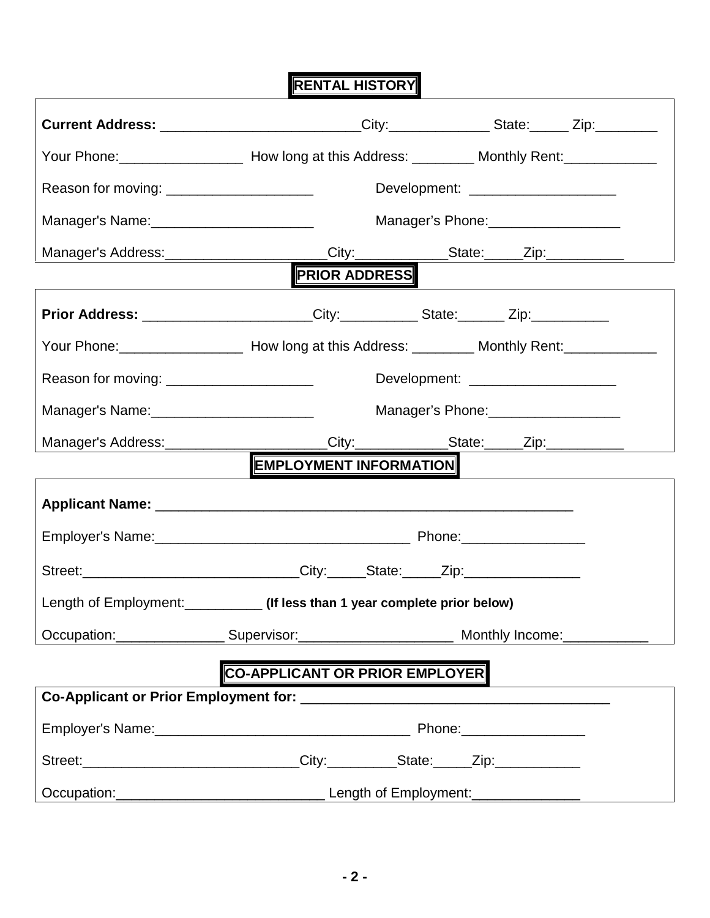**RENTAL HISTORY**

|                                                | Your Phone: _______________________ How long at this Address: _________ Monthly Rent: _____________ |                                                 |
|------------------------------------------------|-----------------------------------------------------------------------------------------------------|-------------------------------------------------|
| Reason for moving: _______________________     |                                                                                                     | Development: ________________________           |
| Manager's Name: _________________________      |                                                                                                     | Manager's Phone:<br><u> </u>                    |
|                                                |                                                                                                     | Manager's Address: City: City: State: Zip: Zip: |
|                                                | <b>PRIOR ADDRESS</b>                                                                                |                                                 |
|                                                | <b>Prior Address:</b> ______________________City:___________State:_______Zip:__________             |                                                 |
|                                                |                                                                                                     |                                                 |
| Reason for moving: ______________________      |                                                                                                     | Development: ______________________             |
| Manager's Name: ______________________________ |                                                                                                     | Manager's Phone: [19] Manager's Phone:          |
|                                                | Manager's Address: ______________________City: ____________State: _____Zip: ___________             |                                                 |
|                                                | <b>EMPLOYMENT INFORMATION</b>                                                                       |                                                 |
|                                                |                                                                                                     |                                                 |
|                                                |                                                                                                     |                                                 |
|                                                | Street:______________________________City:_____State:_____Zip:__________________                    |                                                 |
|                                                | Length of Employment: ____________ (If less than 1 year complete prior below)                       |                                                 |
|                                                |                                                                                                     |                                                 |
|                                                | <b>CO-APPLICANT OR PRIOR EMPLOYER</b>                                                               |                                                 |
|                                                |                                                                                                     |                                                 |
|                                                |                                                                                                     |                                                 |
|                                                | Street:_______________________________City:__________State:_____Zip:____________                    |                                                 |
|                                                |                                                                                                     |                                                 |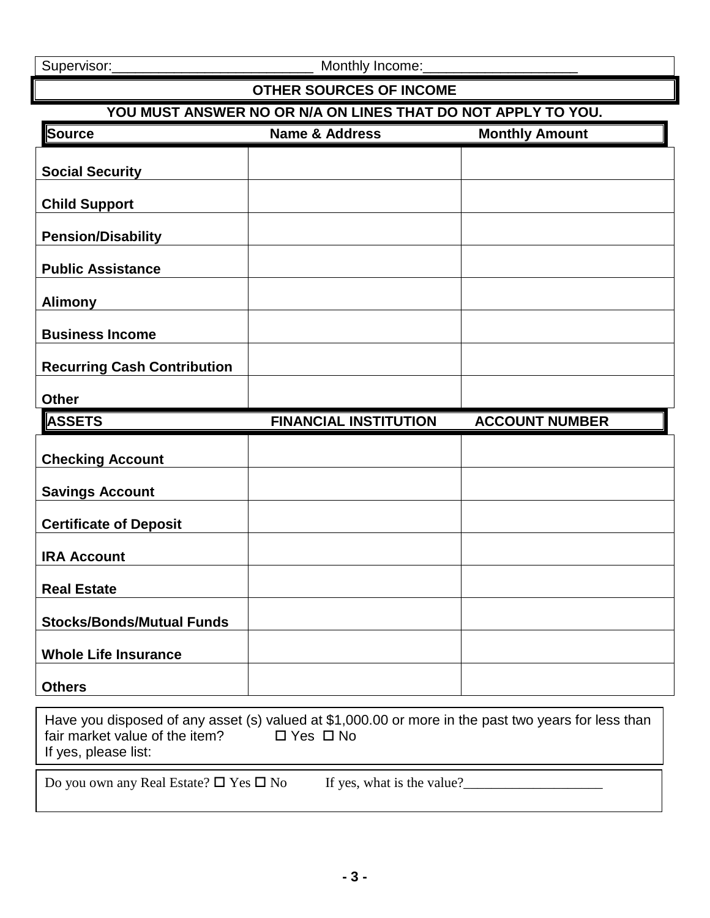Supervisor:\_\_\_\_\_\_\_\_\_\_\_\_\_\_\_\_\_\_\_\_\_\_\_\_\_\_ Monthly Income:\_\_\_\_\_\_\_\_\_\_\_\_\_\_\_\_\_\_\_\_

### **OTHER SOURCES OF INCOME**

### **YOU MUST ANSWER NO OR N/A ON LINES THAT DO NOT APPLY TO YOU.**

| Source                             | <b>Name &amp; Address</b>    | <b>Monthly Amount</b> |
|------------------------------------|------------------------------|-----------------------|
| <b>Social Security</b>             |                              |                       |
| <b>Child Support</b>               |                              |                       |
| <b>Pension/Disability</b>          |                              |                       |
| <b>Public Assistance</b>           |                              |                       |
| <b>Alimony</b>                     |                              |                       |
| <b>Business Income</b>             |                              |                       |
| <b>Recurring Cash Contribution</b> |                              |                       |
| <b>Other</b>                       |                              |                       |
| <b>ASSETS</b>                      | <b>FINANCIAL INSTITUTION</b> | <b>ACCOUNT NUMBER</b> |
| <b>Checking Account</b>            |                              |                       |
| <b>Savings Account</b>             |                              |                       |
| <b>Certificate of Deposit</b>      |                              |                       |
| <b>IRA Account</b>                 |                              |                       |
| <b>Real Estate</b>                 |                              |                       |
| <b>Stocks/Bonds/Mutual Funds</b>   |                              |                       |
| <b>Whole Life Insurance</b>        |                              |                       |
| <b>Others</b>                      |                              |                       |

| fair market value of the item?<br>$\square$ Yes $\square$ No<br>If yes, please list: | Have you disposed of any asset (s) valued at \$1,000.00 or more in the past two years for less than |
|--------------------------------------------------------------------------------------|-----------------------------------------------------------------------------------------------------|
| Do you own any Real Estate? $\square$ Yes $\square$ No                               | If yes, what is the value?                                                                          |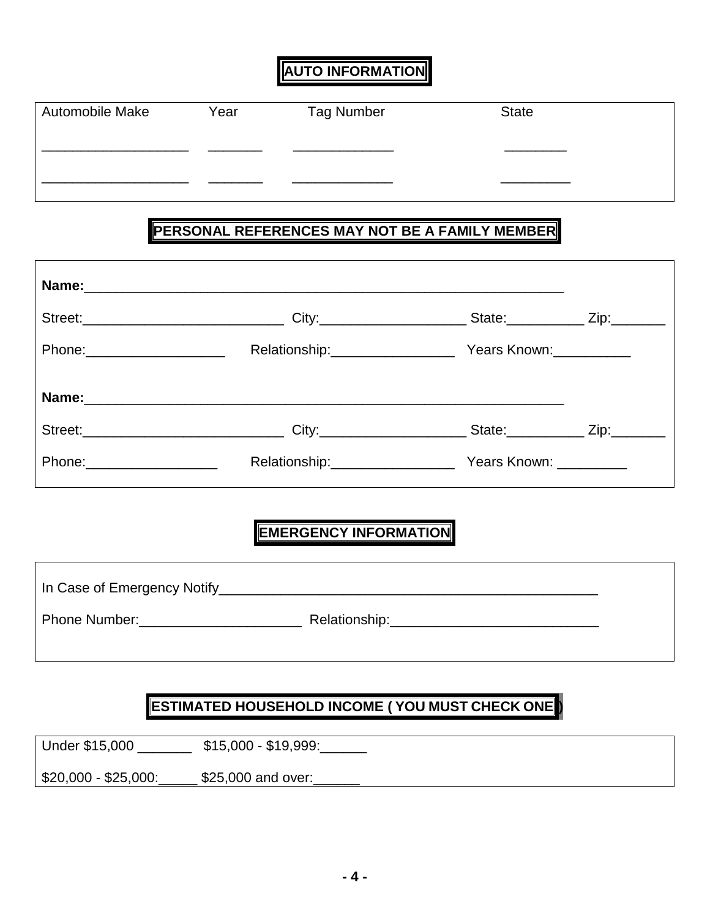## **AUTO INFORMATION**

| <b>Automobile Make</b> | Year | Tag Number | <b>State</b> |  |
|------------------------|------|------------|--------------|--|
|                        |      |            |              |  |
|                        |      |            |              |  |

# **PERSONAL REFERENCES MAY NOT BE A FAMILY MEMBER**

| Years Known:           |                                                                                                                                                                                                                                                                                  |
|------------------------|----------------------------------------------------------------------------------------------------------------------------------------------------------------------------------------------------------------------------------------------------------------------------------|
|                        |                                                                                                                                                                                                                                                                                  |
|                        |                                                                                                                                                                                                                                                                                  |
| Years Known: _________ |                                                                                                                                                                                                                                                                                  |
|                        | Street:________________________________City:_______________________State:____________Zip:__________<br>Relationship:__________________<br>Street:________________________________City:________________________State:____________Zip:_________<br>Relationship:__________________ |

## **EMERGENCY INFORMATION**

| <b>Phone Number:</b> | Relationship:____________________ |
|----------------------|-----------------------------------|

### **ESTIMATED HOUSEHOLD INCOME ( YOU MUST CHECK ONE )**

Under \$15,000 \_\_\_\_\_\_\_\_\_ \$15,000 - \$19,999:

\$20,000 - \$25,000:\_\_\_\_\_\_ \$25,000 and over: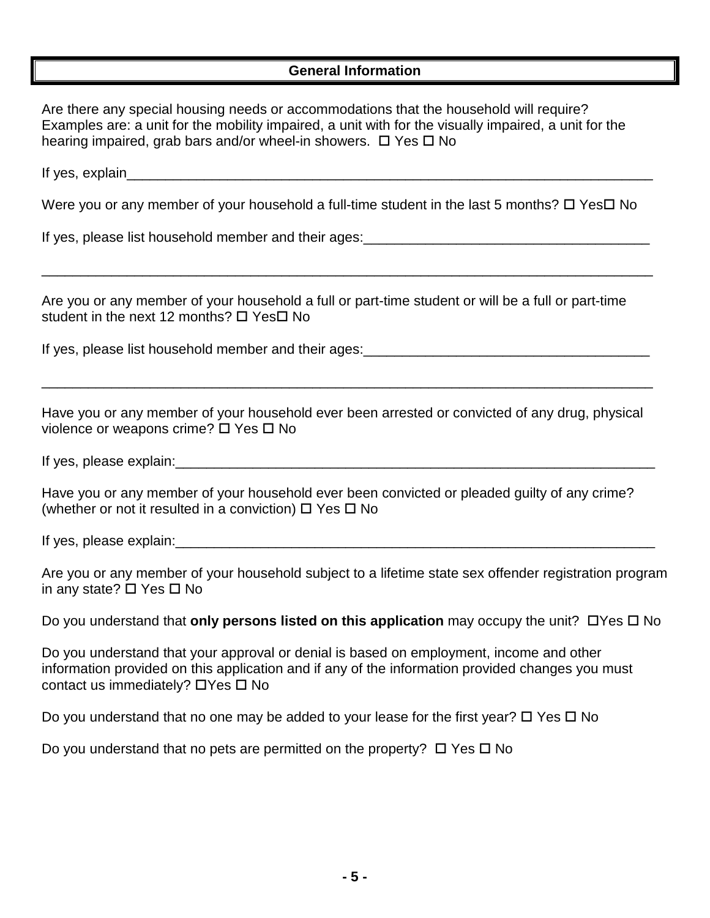### **General Information**

| Are there any special housing needs or accommodations that the household will require?<br>Examples are: a unit for the mobility impaired, a unit with for the visually impaired, a unit for the<br>hearing impaired, grab bars and/or wheel-in showers. □ Yes □ No |
|--------------------------------------------------------------------------------------------------------------------------------------------------------------------------------------------------------------------------------------------------------------------|
|                                                                                                                                                                                                                                                                    |
| Were you or any member of your household a full-time student in the last 5 months? $\Box$ Yes $\Box$ No                                                                                                                                                            |
|                                                                                                                                                                                                                                                                    |
|                                                                                                                                                                                                                                                                    |
| Are you or any member of your household a full or part-time student or will be a full or part-time<br>student in the next 12 months? □ Yes□ No                                                                                                                     |
| If yes, please list household member and their ages:<br><u>Figure 10.1000 maginals and their ages:</u>                                                                                                                                                             |
| Have you or any member of your household ever been arrested or convicted of any drug, physical<br>violence or weapons crime? □ Yes □ No                                                                                                                            |
|                                                                                                                                                                                                                                                                    |
| Have you or any member of your household ever been convicted or pleaded guilty of any crime?<br>(whether or not it resulted in a conviction) $\Box$ Yes $\Box$ No                                                                                                  |
|                                                                                                                                                                                                                                                                    |
| Are you or any member of your household subject to a lifetime state sex offender registration program<br>in any state? $\square$ Yes $\square$ No                                                                                                                  |
| Do you understand that only persons listed on this application may occupy the unit? $\Box$ Yes $\Box$ No                                                                                                                                                           |
| Do you understand that your approval or denial is based on employment, income and other<br>information provided on this application and if any of the information provided changes you must<br>contact us immediately? □ Yes □ No                                  |
| Do you understand that no one may be added to your lease for the first year? $\Box$ Yes $\Box$ No                                                                                                                                                                  |

Do you understand that no pets are permitted on the property?  $\Box$  Yes  $\Box$  No